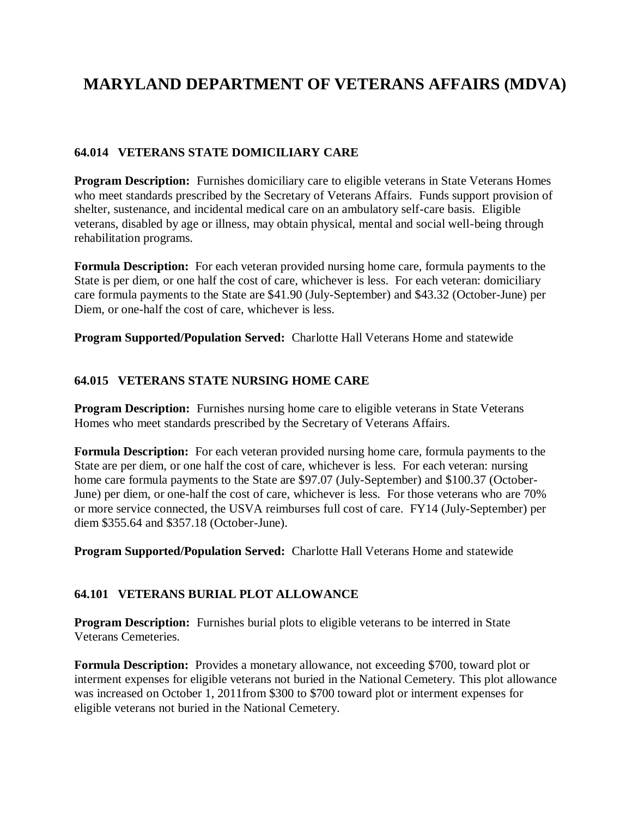# **MARYLAND DEPARTMENT OF VETERANS AFFAIRS (MDVA)**

## **64.014 VETERANS STATE DOMICILIARY CARE**

**Program Description:** Furnishes domiciliary care to eligible veterans in State Veterans Homes who meet standards prescribed by the Secretary of Veterans Affairs. Funds support provision of shelter, sustenance, and incidental medical care on an ambulatory self-care basis. Eligible veterans, disabled by age or illness, may obtain physical, mental and social well-being through rehabilitation programs.

**Formula Description:** For each veteran provided nursing home care, formula payments to the State is per diem, or one half the cost of care, whichever is less. For each veteran: domiciliary care formula payments to the State are \$41.90 (July-September) and \$43.32 (October-June) per Diem, or one-half the cost of care, whichever is less.

**Program Supported/Population Served:** Charlotte Hall Veterans Home and statewide

#### **64.015 VETERANS STATE NURSING HOME CARE**

**Program Description:** Furnishes nursing home care to eligible veterans in State Veterans Homes who meet standards prescribed by the Secretary of Veterans Affairs.

**Formula Description:** For each veteran provided nursing home care, formula payments to the State are per diem, or one half the cost of care, whichever is less. For each veteran: nursing home care formula payments to the State are \$97.07 (July-September) and \$100.37 (October-June) per diem, or one-half the cost of care, whichever is less. For those veterans who are 70% or more service connected, the USVA reimburses full cost of care. FY14 (July-September) per diem \$355.64 and \$357.18 (October-June).

**Program Supported/Population Served:** Charlotte Hall Veterans Home and statewide

#### **64.101 VETERANS BURIAL PLOT ALLOWANCE**

**Program Description:** Furnishes burial plots to eligible veterans to be interred in State Veterans Cemeteries.

**Formula Description:** Provides a monetary allowance, not exceeding \$700, toward plot or interment expenses for eligible veterans not buried in the National Cemetery. This plot allowance was increased on October 1, 2011from \$300 to \$700 toward plot or interment expenses for eligible veterans not buried in the National Cemetery.